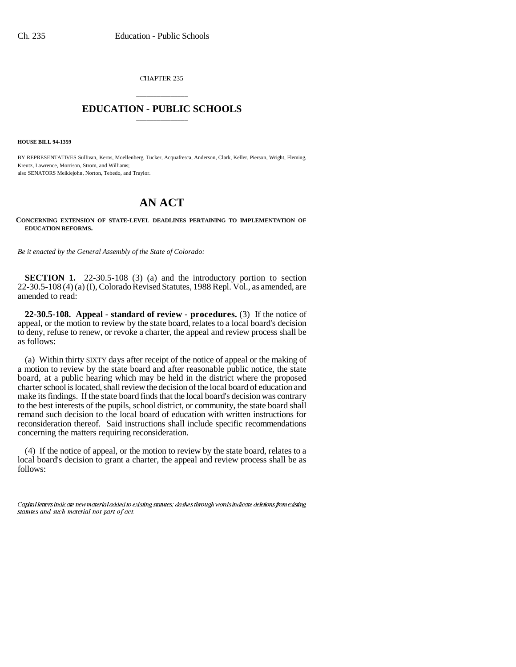CHAPTER 235

## \_\_\_\_\_\_\_\_\_\_\_\_\_\_\_ **EDUCATION - PUBLIC SCHOOLS** \_\_\_\_\_\_\_\_\_\_\_\_\_\_\_

**HOUSE BILL 94-1359**

BY REPRESENTATIVES Sullivan, Kerns, Moellenberg, Tucker, Acquafresca, Anderson, Clark, Keller, Pierson, Wright, Fleming, Kreutz, Lawrence, Morrison, Strom, and Williams; also SENATORS Meiklejohn, Norton, Tebedo, and Traylor.

## **AN ACT**

## **CONCERNING EXTENSION OF STATE-LEVEL DEADLINES PERTAINING TO IMPLEMENTATION OF EDUCATION REFORMS.**

*Be it enacted by the General Assembly of the State of Colorado:*

**SECTION 1.** 22-30.5-108 (3) (a) and the introductory portion to section 22-30.5-108 (4) (a) (I), Colorado Revised Statutes, 1988 Repl. Vol., as amended, are amended to read:

**22-30.5-108. Appeal - standard of review - procedures.** (3) If the notice of appeal, or the motion to review by the state board, relates to a local board's decision to deny, refuse to renew, or revoke a charter, the appeal and review process shall be as follows:

concerning the matters requiring reconsideration. (a) Within thirty SIXTY days after receipt of the notice of appeal or the making of a motion to review by the state board and after reasonable public notice, the state board, at a public hearing which may be held in the district where the proposed charter school is located, shall review the decision of the local board of education and make its findings. If the state board finds that the local board's decision was contrary to the best interests of the pupils, school district, or community, the state board shall remand such decision to the local board of education with written instructions for reconsideration thereof. Said instructions shall include specific recommendations

(4) If the notice of appeal, or the motion to review by the state board, relates to a local board's decision to grant a charter, the appeal and review process shall be as follows:

Capital letters indicate new material added to existing statutes; dashes through words indicate deletions from existing statutes and such material not part of act.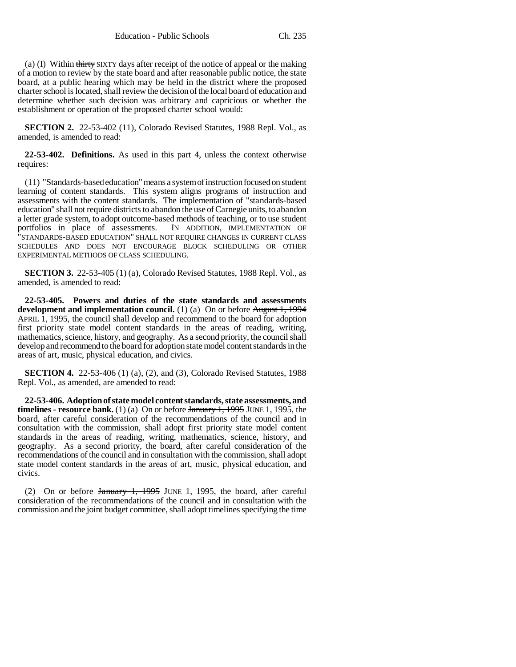(a) (I) Within thirty SIXTY days after receipt of the notice of appeal or the making of a motion to review by the state board and after reasonable public notice, the state board, at a public hearing which may be held in the district where the proposed charter school is located, shall review the decision of the local board of education and determine whether such decision was arbitrary and capricious or whether the establishment or operation of the proposed charter school would:

**SECTION 2.** 22-53-402 (11), Colorado Revised Statutes, 1988 Repl. Vol., as amended, is amended to read:

**22-53-402. Definitions.** As used in this part 4, unless the context otherwise requires:

(11) "Standards-based education" means a system of instruction focused on student learning of content standards. This system aligns programs of instruction and assessments with the content standards. The implementation of "standards-based education" shall not require districts to abandon the use of Carnegie units, to abandon a letter grade system, to adopt outcome-based methods of teaching, or to use student portfolios in place of assessments. "STANDARDS-BASED EDUCATION" SHALL NOT REQUIRE CHANGES IN CURRENT CLASS SCHEDULES AND DOES NOT ENCOURAGE BLOCK SCHEDULING OR OTHER EXPERIMENTAL METHODS OF CLASS SCHEDULING.

**SECTION 3.** 22-53-405 (1) (a), Colorado Revised Statutes, 1988 Repl. Vol., as amended, is amended to read:

**22-53-405. Powers and duties of the state standards and assessments development and implementation council.** (1) (a) On or before August 1, 1994 APRIL 1, 1995, the council shall develop and recommend to the board for adoption first priority state model content standards in the areas of reading, writing, mathematics, science, history, and geography. As a second priority, the council shall develop and recommend to the board for adoption state model content standards in the areas of art, music, physical education, and civics.

**SECTION 4.** 22-53-406 (1) (a), (2), and (3), Colorado Revised Statutes, 1988 Repl. Vol., as amended, are amended to read:

**22-53-406. Adoption of state model content standards, state assessments, and timelines - resource bank.** (1) (a) On or before  $\frac{1}{2}$   $\frac{1}{995}$  JUNE 1, 1995, the board, after careful consideration of the recommendations of the council and in consultation with the commission, shall adopt first priority state model content standards in the areas of reading, writing, mathematics, science, history, and geography. As a second priority, the board, after careful consideration of the recommendations of the council and in consultation with the commission, shall adopt state model content standards in the areas of art, music, physical education, and civics.

(2) On or before January 1, 1995 JUNE 1, 1995, the board, after careful consideration of the recommendations of the council and in consultation with the commission and the joint budget committee, shall adopt timelines specifying the time